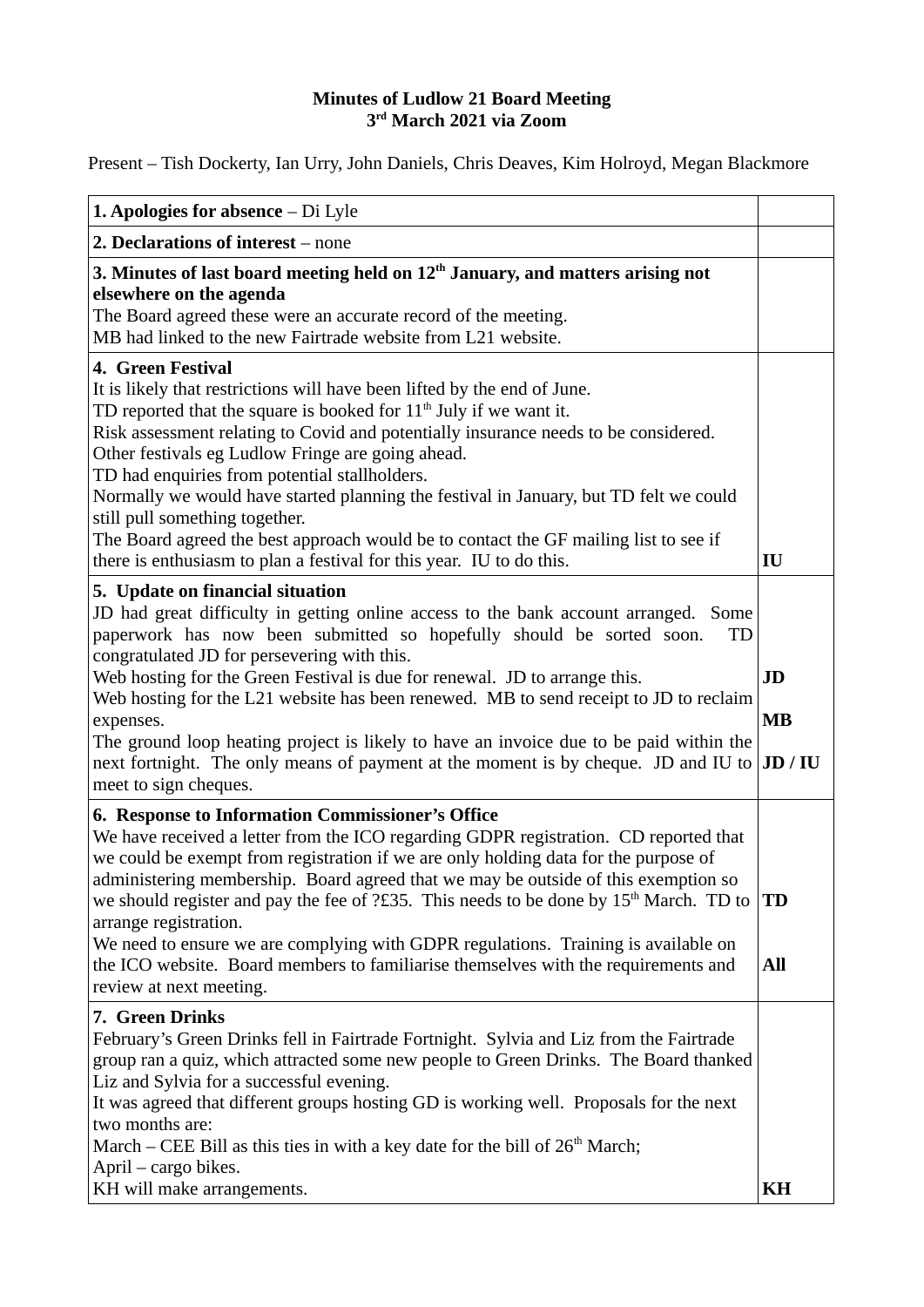## **Minutes of Ludlow 21 Board Meeting 3rd March 2021 via Zoom**

Present – Tish Dockerty, Ian Urry, John Daniels, Chris Deaves, Kim Holroyd, Megan Blackmore

| <b>1. Apologies for absence – Di Lyle</b>                                                                                                                                                                                                                                                                                                                                                                                                                                                                                                                                                                                                                     |                            |
|---------------------------------------------------------------------------------------------------------------------------------------------------------------------------------------------------------------------------------------------------------------------------------------------------------------------------------------------------------------------------------------------------------------------------------------------------------------------------------------------------------------------------------------------------------------------------------------------------------------------------------------------------------------|----------------------------|
| 2. Declarations of interest – none                                                                                                                                                                                                                                                                                                                                                                                                                                                                                                                                                                                                                            |                            |
| 3. Minutes of last board meeting held on $12th$ January, and matters arising not<br>elsewhere on the agenda<br>The Board agreed these were an accurate record of the meeting.<br>MB had linked to the new Fairtrade website from L21 website.                                                                                                                                                                                                                                                                                                                                                                                                                 |                            |
| 4. Green Festival<br>It is likely that restrictions will have been lifted by the end of June.<br>TD reported that the square is booked for $11th$ July if we want it.<br>Risk assessment relating to Covid and potentially insurance needs to be considered.<br>Other festivals eg Ludlow Fringe are going ahead.<br>TD had enquiries from potential stallholders.<br>Normally we would have started planning the festival in January, but TD felt we could<br>still pull something together.<br>The Board agreed the best approach would be to contact the GF mailing list to see if<br>there is enthusiasm to plan a festival for this year. IU to do this. | IU                         |
| 5. Update on financial situation<br>JD had great difficulty in getting online access to the bank account arranged. Some<br>paperwork has now been submitted so hopefully should be sorted soon.<br>TD<br>congratulated JD for persevering with this.<br>Web hosting for the Green Festival is due for renewal. JD to arrange this.<br>Web hosting for the L21 website has been renewed. MB to send receipt to JD to reclaim<br>expenses.<br>The ground loop heating project is likely to have an invoice due to be paid within the<br>next fortnight. The only means of payment at the moment is by cheque. JD and IU to<br>meet to sign cheques.             | JD<br><b>MB</b><br>JD / IU |
| 6. Response to Information Commissioner's Office<br>We have received a letter from the ICO regarding GDPR registration. CD reported that<br>we could be exempt from registration if we are only holding data for the purpose of<br>administering membership. Board agreed that we may be outside of this exemption so<br>we should register and pay the fee of ?£35. This needs to be done by 15 <sup>th</sup> March. TD to<br>arrange registration.<br>We need to ensure we are complying with GDPR regulations. Training is available on<br>the ICO website. Board members to familiarise themselves with the requirements and<br>review at next meeting.   | TD<br>All                  |
| 7. Green Drinks<br>February's Green Drinks fell in Fairtrade Fortnight. Sylvia and Liz from the Fairtrade<br>group ran a quiz, which attracted some new people to Green Drinks. The Board thanked<br>Liz and Sylvia for a successful evening.<br>It was agreed that different groups hosting GD is working well. Proposals for the next<br>two months are:<br>March – CEE Bill as this ties in with a key date for the bill of $26th$ March;<br>April – cargo bikes.<br>KH will make arrangements.                                                                                                                                                            | KH                         |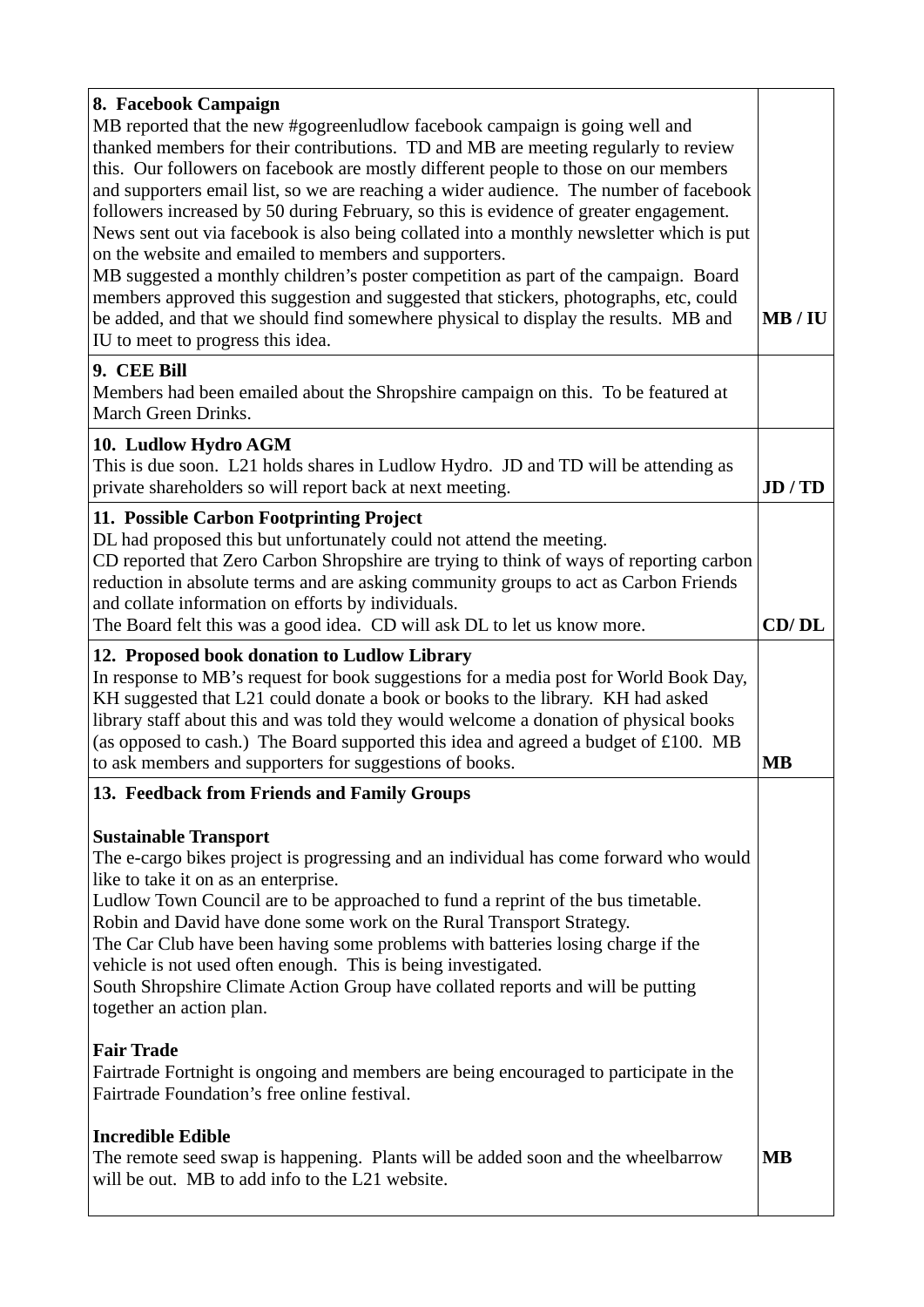| 8. Facebook Campaign<br>MB reported that the new #gogreenludlow facebook campaign is going well and<br>thanked members for their contributions. TD and MB are meeting regularly to review<br>this. Our followers on facebook are mostly different people to those on our members<br>and supporters email list, so we are reaching a wider audience. The number of facebook<br>followers increased by 50 during February, so this is evidence of greater engagement.<br>News sent out via facebook is also being collated into a monthly newsletter which is put<br>on the website and emailed to members and supporters.<br>MB suggested a monthly children's poster competition as part of the campaign. Board<br>members approved this suggestion and suggested that stickers, photographs, etc, could<br>be added, and that we should find somewhere physical to display the results. MB and<br>IU to meet to progress this idea.<br>9. CEE Bill | MB/IU   |
|-----------------------------------------------------------------------------------------------------------------------------------------------------------------------------------------------------------------------------------------------------------------------------------------------------------------------------------------------------------------------------------------------------------------------------------------------------------------------------------------------------------------------------------------------------------------------------------------------------------------------------------------------------------------------------------------------------------------------------------------------------------------------------------------------------------------------------------------------------------------------------------------------------------------------------------------------------|---------|
| Members had been emailed about the Shropshire campaign on this. To be featured at<br>March Green Drinks.                                                                                                                                                                                                                                                                                                                                                                                                                                                                                                                                                                                                                                                                                                                                                                                                                                            |         |
| 10. Ludlow Hydro AGM<br>This is due soon. L21 holds shares in Ludlow Hydro. JD and TD will be attending as<br>private shareholders so will report back at next meeting.                                                                                                                                                                                                                                                                                                                                                                                                                                                                                                                                                                                                                                                                                                                                                                             | JD / TD |
| 11. Possible Carbon Footprinting Project<br>DL had proposed this but unfortunately could not attend the meeting.<br>CD reported that Zero Carbon Shropshire are trying to think of ways of reporting carbon<br>reduction in absolute terms and are asking community groups to act as Carbon Friends<br>and collate information on efforts by individuals.<br>The Board felt this was a good idea. CD will ask DL to let us know more.                                                                                                                                                                                                                                                                                                                                                                                                                                                                                                               | CD/DL   |
| 12. Proposed book donation to Ludlow Library<br>In response to MB's request for book suggestions for a media post for World Book Day,<br>KH suggested that L21 could donate a book or books to the library. KH had asked<br>library staff about this and was told they would welcome a donation of physical books<br>(as opposed to cash.) The Board supported this idea and agreed a budget of £100. MB<br>to ask members and supporters for suggestions of books.                                                                                                                                                                                                                                                                                                                                                                                                                                                                                 | MВ      |
| 13. Feedback from Friends and Family Groups                                                                                                                                                                                                                                                                                                                                                                                                                                                                                                                                                                                                                                                                                                                                                                                                                                                                                                         |         |
| <b>Sustainable Transport</b><br>The e-cargo bikes project is progressing and an individual has come forward who would<br>like to take it on as an enterprise.<br>Ludlow Town Council are to be approached to fund a reprint of the bus timetable.<br>Robin and David have done some work on the Rural Transport Strategy.<br>The Car Club have been having some problems with batteries losing charge if the<br>vehicle is not used often enough. This is being investigated.<br>South Shropshire Climate Action Group have collated reports and will be putting<br>together an action plan.                                                                                                                                                                                                                                                                                                                                                        |         |
| <b>Fair Trade</b><br>Fairtrade Fortnight is ongoing and members are being encouraged to participate in the<br>Fairtrade Foundation's free online festival.                                                                                                                                                                                                                                                                                                                                                                                                                                                                                                                                                                                                                                                                                                                                                                                          |         |
| <b>Incredible Edible</b><br>The remote seed swap is happening. Plants will be added soon and the wheelbarrow<br>will be out. MB to add info to the L21 website.                                                                                                                                                                                                                                                                                                                                                                                                                                                                                                                                                                                                                                                                                                                                                                                     | MB      |